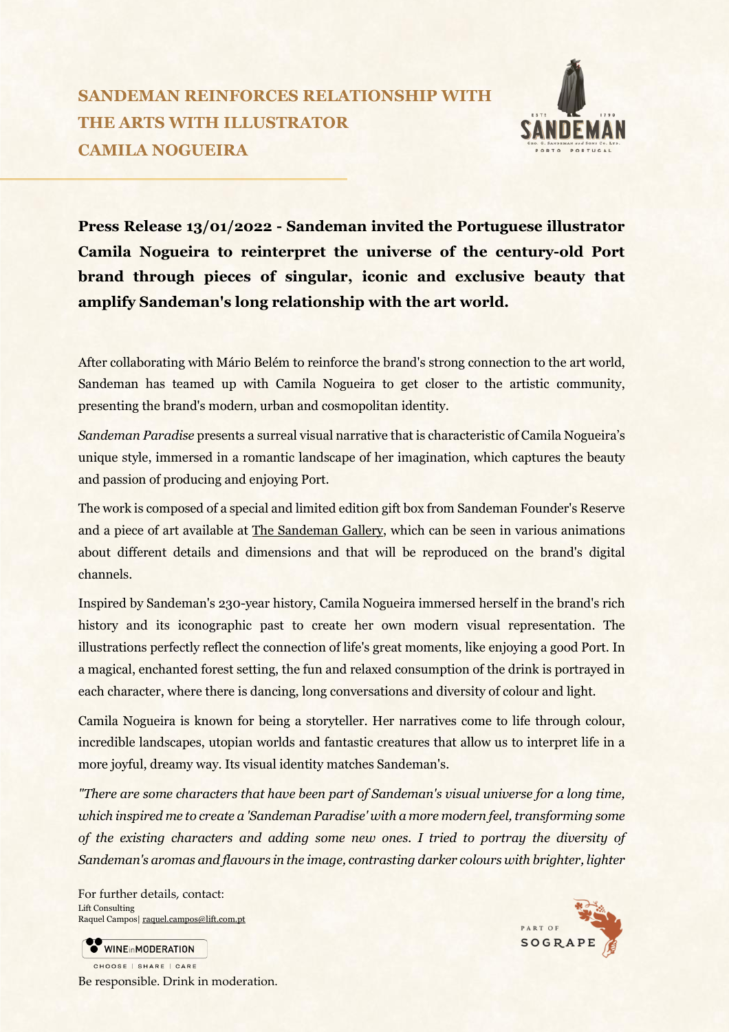## **SANDEMAN REINFORCES RELATIONSHIP WITH THE ARTS WITH ILLUSTRATOR CAMILA NOGUEIRA**



**Press Release 13/01/2022 - Sandeman invited the Portuguese illustrator Camila Nogueira to reinterpret the universe of the century-old Port brand through pieces of singular, iconic and exclusive beauty that amplify Sandeman's long relationship with the art world.** 

After collaborating with Mário Belém to reinforce the brand's strong connection to the art world, Sandeman has teamed up with Camila Nogueira to get closer to the artistic community, presenting the brand's modern, urban and cosmopolitan identity.

*Sandeman Paradise* presents a surreal visual narrative that is characteristic of Camila Nogueira's unique style, immersed in a romantic landscape of her imagination, which captures the beauty and passion of producing and enjoying Port.

The work is composed of a special and limited edition gift box from Sandeman Founder's Reserve and a piece of art available at The Sandeman Gallery, which can be seen in various animations about different details and dimensions and that will be reproduced on the brand's digital channels.

Inspired by Sandeman's 230-year history, Camila Nogueira immersed herself in the brand's rich history and its iconographic past to create her own modern visual representation. The illustrations perfectly reflect the connection of life's great moments, like enjoying a good Port. In a magical, enchanted forest setting, the fun and relaxed consumption of the drink is portrayed in each character, where there is dancing, long conversations and diversity of colour and light.

Camila Nogueira is known for being a storyteller. Her narratives come to life through colour, incredible landscapes, utopian worlds and fantastic creatures that allow us to interpret life in a more joyful, dreamy way. Its visual identity matches Sandeman's.

*"There are some characters that have been part of Sandeman's visual universe for a long time, which inspired me to create a 'Sandeman Paradise' with a more modern feel, transforming some of the existing characters and adding some new ones. I tried to portray the diversity of Sandeman's aromas and flavours in the image, contrasting darker colours with brighter, lighter*

For further details, contact: Lift Consulting Raquel Campos| [raquel.campos@lift.com.pt](mailto:raquel.campos@lift.com.pt)

WINEinMODERATION CHOOSE | SHARE | CARE Be responsible. Drink in moderation.